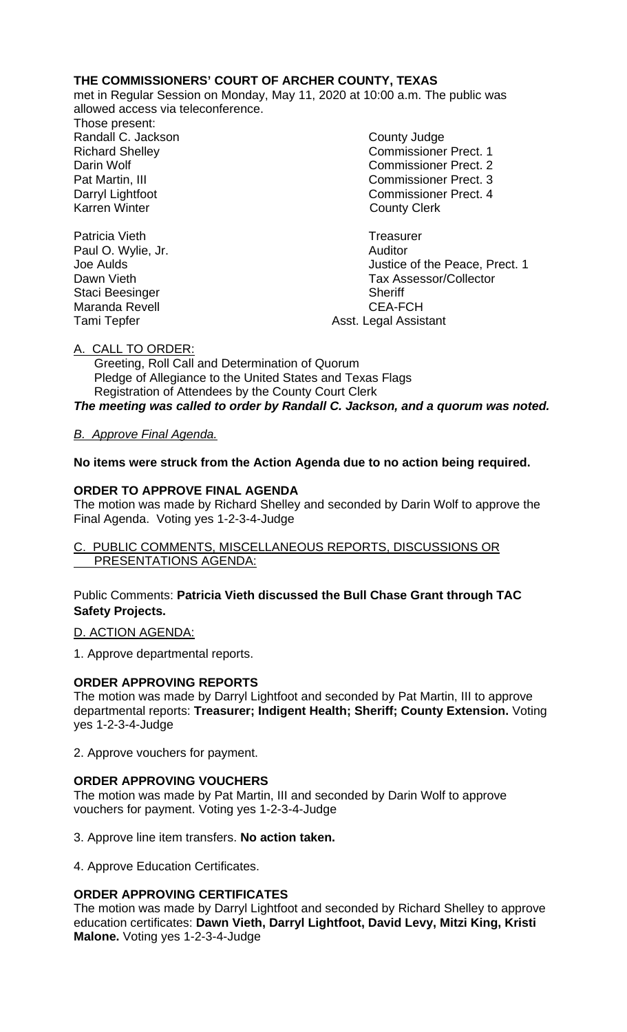## **THE COMMISSIONERS' COURT OF ARCHER COUNTY, TEXAS**

met in Regular Session on Monday, May 11, 2020 at 10:00 a.m. The public was allowed access via teleconference.

Those present: Randall C. Jackson **County Judge** 

Richard Shelley Commissioner Prect. 1 Darin Wolf Commissioner Prect. 2 Pat Martin, III Commissioner Prect. 3 Darryl Lightfoot **Commissioner Prect. 4**<br>
Karren Winter **County County Clerk County Clerk** 

Joe Aulds Justice of the Peace, Prect. 1 Dawn Vieth Tax Assessor/Collector Tami Tepfer **Asst.** Legal Assistant

Patricia Vieth<br>
Paul O. Wylie, Jr. Carl Christian Communication Control Communication Christian Communication Christian Chris<br>
Paul O. Wylie, Jr. Carl Christian Christian Christian Christian Christian Christian Christian C Paul O. Wylie, Jr. Staci Beesinger Sheriff Maranda Revell

A. CALL TO ORDER:

 Greeting, Roll Call and Determination of Quorum Pledge of Allegiance to the United States and Texas Flags Registration of Attendees by the County Court Clerk *The meeting was called to order by Randall C. Jackson, and a quorum was noted.*

# *B. Approve Final Agenda.*

**No items were struck from the Action Agenda due to no action being required.**

## **ORDER TO APPROVE FINAL AGENDA**

The motion was made by Richard Shelley and seconded by Darin Wolf to approve the Final Agenda. Voting yes 1-2-3-4-Judge

### C. PUBLIC COMMENTS, MISCELLANEOUS REPORTS, DISCUSSIONS OR PRESENTATIONS AGENDA:

Public Comments: **Patricia Vieth discussed the Bull Chase Grant through TAC Safety Projects.**

## D. ACTION AGENDA:

1. Approve departmental reports.

## **ORDER APPROVING REPORTS**

The motion was made by Darryl Lightfoot and seconded by Pat Martin, III to approve departmental reports: **Treasurer; Indigent Health; Sheriff; County Extension.** Voting yes 1-2-3-4-Judge

2. Approve vouchers for payment.

## **ORDER APPROVING VOUCHERS**

The motion was made by Pat Martin, III and seconded by Darin Wolf to approve vouchers for payment. Voting yes 1-2-3-4-Judge

3. Approve line item transfers. **No action taken.**

4. Approve Education Certificates.

## **ORDER APPROVING CERTIFICATES**

The motion was made by Darryl Lightfoot and seconded by Richard Shelley to approve education certificates: **Dawn Vieth, Darryl Lightfoot, David Levy, Mitzi King, Kristi Malone.** Voting yes 1-2-3-4-Judge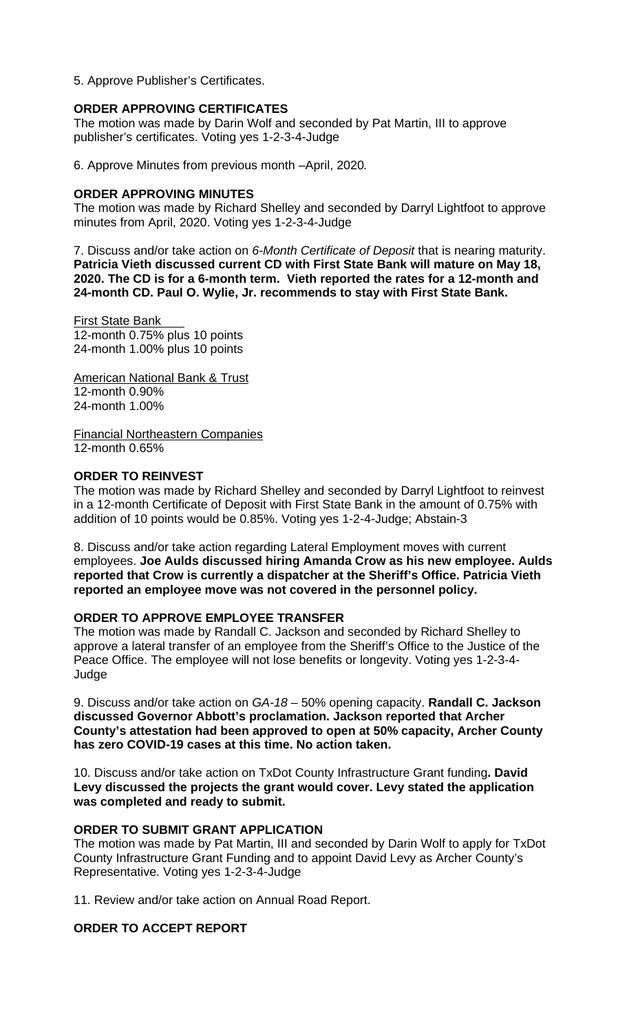5. Approve Publisher's Certificates.

### **ORDER APPROVING CERTIFICATES**

The motion was made by Darin Wolf and seconded by Pat Martin, III to approve publisher's certificates. Voting yes 1-2-3-4-Judge

6. Approve Minutes from previous month –April, 2020*.* 

### **ORDER APPROVING MINUTES**

The motion was made by Richard Shelley and seconded by Darryl Lightfoot to approve minutes from April, 2020. Voting yes 1-2-3-4-Judge

7. Discuss and/or take action on *6-Month Certificate of Deposit* that is nearing maturity. **Patricia Vieth discussed current CD with First State Bank will mature on May 18, 2020. The CD is for a 6-month term. Vieth reported the rates for a 12-month and 24-month CD. Paul O. Wylie, Jr. recommends to stay with First State Bank.**

**First State Bank** 12-month 0.75% plus 10 points 24-month 1.00% plus 10 points

American National Bank & Trust 12-month 0.90% 24-month 1.00%

Financial Northeastern Companies 12-month 0.65%

### **ORDER TO REINVEST**

The motion was made by Richard Shelley and seconded by Darryl Lightfoot to reinvest in a 12-month Certificate of Deposit with First State Bank in the amount of 0.75% with addition of 10 points would be 0.85%. Voting yes 1-2-4-Judge; Abstain-3

8. Discuss and/or take action regarding Lateral Employment moves with current employees. **Joe Aulds discussed hiring Amanda Crow as his new employee. Aulds reported that Crow is currently a dispatcher at the Sheriff's Office. Patricia Vieth reported an employee move was not covered in the personnel policy.** 

#### **ORDER TO APPROVE EMPLOYEE TRANSFER**

The motion was made by Randall C. Jackson and seconded by Richard Shelley to approve a lateral transfer of an employee from the Sheriff's Office to the Justice of the Peace Office. The employee will not lose benefits or longevity. Voting yes 1-2-3-4- Judge

9. Discuss and/or take action on *GA-18* – 50% opening capacity. **Randall C. Jackson discussed Governor Abbott's proclamation. Jackson reported that Archer County's attestation had been approved to open at 50% capacity, Archer County has zero COVID-19 cases at this time. No action taken.**

10. Discuss and/or take action on TxDot County Infrastructure Grant funding**. David Levy discussed the projects the grant would cover. Levy stated the application was completed and ready to submit.**

#### **ORDER TO SUBMIT GRANT APPLICATION**

The motion was made by Pat Martin, III and seconded by Darin Wolf to apply for TxDot County Infrastructure Grant Funding and to appoint David Levy as Archer County's Representative. Voting yes 1-2-3-4-Judge

11. Review and/or take action on Annual Road Report.

### **ORDER TO ACCEPT REPORT**